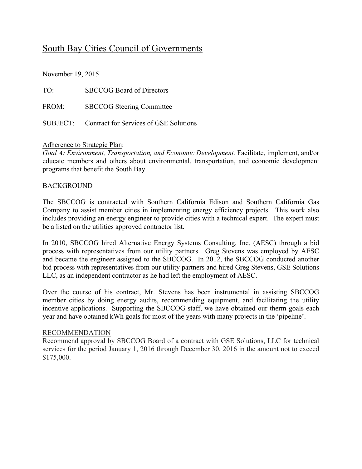# South Bay Cities Council of Governments

November 19, 2015

TO: SBCCOG Board of Directors FROM: SBCCOG Steering Committee SUBJECT: Contract for Services of GSE Solutions

### Adherence to Strategic Plan:

*Goal A: Environment, Transportation, and Economic Development.* Facilitate, implement, and/or educate members and others about environmental, transportation, and economic development programs that benefit the South Bay.

### BACKGROUND

The SBCCOG is contracted with Southern California Edison and Southern California Gas Company to assist member cities in implementing energy efficiency projects. This work also includes providing an energy engineer to provide cities with a technical expert. The expert must be a listed on the utilities approved contractor list.

In 2010, SBCCOG hired Alternative Energy Systems Consulting, Inc. (AESC) through a bid process with representatives from our utility partners. Greg Stevens was employed by AESC and became the engineer assigned to the SBCCOG. In 2012, the SBCCOG conducted another bid process with representatives from our utility partners and hired Greg Stevens, GSE Solutions LLC, as an independent contractor as he had left the employment of AESC.

Over the course of his contract, Mr. Stevens has been instrumental in assisting SBCCOG member cities by doing energy audits, recommending equipment, and facilitating the utility incentive applications. Supporting the SBCCOG staff, we have obtained our therm goals each year and have obtained kWh goals for most of the years with many projects in the 'pipeline'.

### RECOMMENDATION

Recommend approval by SBCCOG Board of a contract with GSE Solutions, LLC for technical services for the period January 1, 2016 through December 30, 2016 in the amount not to exceed \$175,000.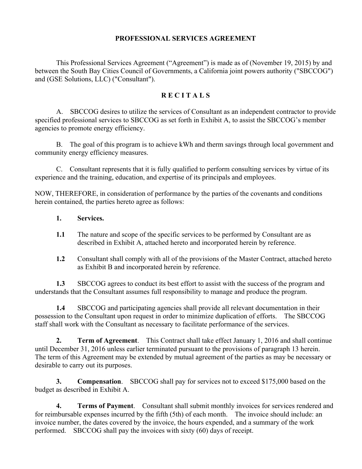### **PROFESSIONAL SERVICES AGREEMENT**

This Professional Services Agreement ("Agreement") is made as of (November 19, 2015) by and between the South Bay Cities Council of Governments, a California joint powers authority ("SBCCOG") and (GSE Solutions, LLC) ("Consultant").

### **R E C I T A L S**

A. SBCCOG desires to utilize the services of Consultant as an independent contractor to provide specified professional services to SBCCOG as set forth in Exhibit A, to assist the SBCCOG's member agencies to promote energy efficiency.

B. The goal of this program is to achieve kWh and therm savings through local government and community energy efficiency measures.

C. Consultant represents that it is fully qualified to perform consulting services by virtue of its experience and the training, education, and expertise of its principals and employees.

NOW, THEREFORE, in consideration of performance by the parties of the covenants and conditions herein contained, the parties hereto agree as follows:

- **1. Services.**
- **1.1** The nature and scope of the specific services to be performed by Consultant are as described in Exhibit A, attached hereto and incorporated herein by reference.
- **1.2** Consultant shall comply with all of the provisions of the Master Contract, attached hereto as Exhibit B and incorporated herein by reference.

**1.3** SBCCOG agrees to conduct its best effort to assist with the success of the program and understands that the Consultant assumes full responsibility to manage and produce the program.

**1.4** SBCCOG and participating agencies shall provide all relevant documentation in their possession to the Consultant upon request in order to minimize duplication of efforts. The SBCCOG staff shall work with the Consultant as necessary to facilitate performance of the services.

**2. Term of Agreement**. This Contract shall take effect January 1, 2016 and shall continue until December 31, 2016 unless earlier terminated pursuant to the provisions of paragraph 13 herein. The term of this Agreement may be extended by mutual agreement of the parties as may be necessary or desirable to carry out its purposes.

**3. Compensation**. SBCCOG shall pay for services not to exceed \$175,000 based on the budget as described in Exhibit A.

**4. Terms of Payment**. Consultant shall submit monthly invoices for services rendered and for reimbursable expenses incurred by the fifth (5th) of each month. The invoice should include: an invoice number, the dates covered by the invoice, the hours expended, and a summary of the work performed. SBCCOG shall pay the invoices with sixty (60) days of receipt.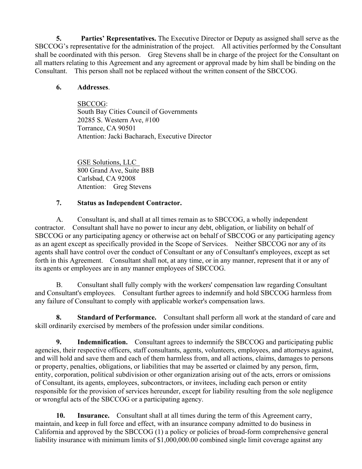**5. Parties' Representatives.** The Executive Director or Deputy as assigned shall serve as the SBCCOG's representative for the administration of the project. All activities performed by the Consultant shall be coordinated with this person. Greg Stevens shall be in charge of the project for the Consultant on all matters relating to this Agreement and any agreement or approval made by him shall be binding on the Consultant. This person shall not be replaced without the written consent of the SBCCOG.

# **6. Addresses**.

SBCCOG: South Bay Cities Council of Governments 20285 S. Western Ave, #100 Torrance, CA 90501 Attention: Jacki Bacharach, Executive Director

GSE Solutions, LLC 800 Grand Ave, Suite B8B Carlsbad, CA 92008 Attention: Greg Stevens

## **7. Status as Independent Contractor.**

A. Consultant is, and shall at all times remain as to SBCCOG, a wholly independent contractor. Consultant shall have no power to incur any debt, obligation, or liability on behalf of SBCCOG or any participating agency or otherwise act on behalf of SBCCOG or any participating agency as an agent except as specifically provided in the Scope of Services. Neither SBCCOG nor any of its agents shall have control over the conduct of Consultant or any of Consultant's employees, except as set forth in this Agreement. Consultant shall not, at any time, or in any manner, represent that it or any of its agents or employees are in any manner employees of SBCCOG.

B. Consultant shall fully comply with the workers' compensation law regarding Consultant and Consultant's employees. Consultant further agrees to indemnify and hold SBCCOG harmless from any failure of Consultant to comply with applicable worker's compensation laws.

**8. Standard of Performance.** Consultant shall perform all work at the standard of care and skill ordinarily exercised by members of the profession under similar conditions.

**9. Indemnification.** Consultant agrees to indemnify the SBCCOG and participating public agencies, their respective officers, staff consultants, agents, volunteers, employees, and attorneys against, and will hold and save them and each of them harmless from, and all actions, claims, damages to persons or property, penalties, obligations, or liabilities that may be asserted or claimed by any person, firm, entity, corporation, political subdivision or other organization arising out of the acts, errors or omissions of Consultant, its agents, employees, subcontractors, or invitees, including each person or entity responsible for the provision of services hereunder, except for liability resulting from the sole negligence or wrongful acts of the SBCCOG or a participating agency.

**10. Insurance.** Consultant shall at all times during the term of this Agreement carry, maintain, and keep in full force and effect, with an insurance company admitted to do business in California and approved by the SBCCOG (1) a policy or policies of broad-form comprehensive general liability insurance with minimum limits of \$1,000,000.00 combined single limit coverage against any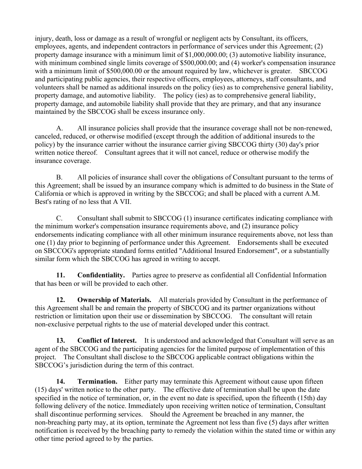injury, death, loss or damage as a result of wrongful or negligent acts by Consultant, its officers, employees, agents, and independent contractors in performance of services under this Agreement; (2) property damage insurance with a minimum limit of \$1,000,000.00; (3) automotive liability insurance, with minimum combined single limits coverage of \$500,000.00; and (4) worker's compensation insurance with a minimum limit of \$500,000.00 or the amount required by law, whichever is greater. SBCCOG and participating public agencies, their respective officers, employees, attorneys, staff consultants, and volunteers shall be named as additional insureds on the policy (ies) as to comprehensive general liability, property damage, and automotive liability. The policy (ies) as to comprehensive general liability, property damage, and automobile liability shall provide that they are primary, and that any insurance maintained by the SBCCOG shall be excess insurance only.

A. All insurance policies shall provide that the insurance coverage shall not be non-renewed, canceled, reduced, or otherwise modified (except through the addition of additional insureds to the policy) by the insurance carrier without the insurance carrier giving SBCCOG thirty (30) day's prior written notice thereof. Consultant agrees that it will not cancel, reduce or otherwise modify the insurance coverage.

B. All policies of insurance shall cover the obligations of Consultant pursuant to the terms of this Agreement; shall be issued by an insurance company which is admitted to do business in the State of California or which is approved in writing by the SBCCOG; and shall be placed with a current A.M. Best's rating of no less that A VII.

C. Consultant shall submit to SBCCOG (1) insurance certificates indicating compliance with the minimum worker's compensation insurance requirements above, and (2) insurance policy endorsements indicating compliance with all other minimum insurance requirements above, not less than one (1) day prior to beginning of performance under this Agreement. Endorsements shall be executed on SBCCOG's appropriate standard forms entitled "Additional Insured Endorsement", or a substantially similar form which the SBCCOG has agreed in writing to accept.

**11. Confidentiality.** Parties agree to preserve as confidential all Confidential Information that has been or will be provided to each other.

**12. Ownership of Materials.** All materials provided by Consultant in the performance of this Agreement shall be and remain the property of SBCCOG and its partner organizations without restriction or limitation upon their use or dissemination by SBCCOG. The consultant will retain non-exclusive perpetual rights to the use of material developed under this contract.

**13.** Conflict of Interest. It is understood and acknowledged that Consultant will serve as an agent of the SBCCOG and the participating agencies for the limited purpose of implementation of this project. The Consultant shall disclose to the SBCCOG applicable contract obligations within the SBCCOG's jurisdiction during the term of this contract.

**14. Termination.** Either party may terminate this Agreement without cause upon fifteen (15) days' written notice to the other party. The effective date of termination shall be upon the date specified in the notice of termination, or, in the event no date is specified, upon the fifteenth (15th) day following delivery of the notice. Immediately upon receiving written notice of termination, Consultant shall discontinue performing services. Should the Agreement be breached in any manner, the non-breaching party may, at its option, terminate the Agreement not less than five (5) days after written notification is received by the breaching party to remedy the violation within the stated time or within any other time period agreed to by the parties.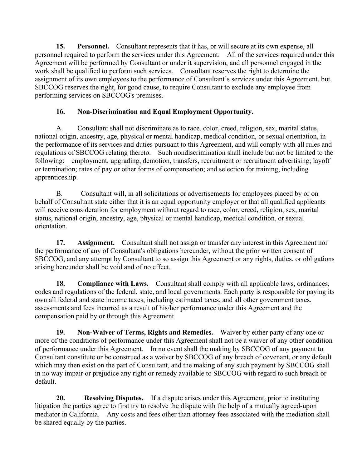**15. Personnel.** Consultant represents that it has, or will secure at its own expense, all personnel required to perform the services under this Agreement. All of the services required under this Agreement will be performed by Consultant or under it supervision, and all personnel engaged in the work shall be qualified to perform such services. Consultant reserves the right to determine the assignment of its own employees to the performance of Consultant's services under this Agreement, but SBCCOG reserves the right, for good cause, to require Consultant to exclude any employee from performing services on SBCCOG's premises.

# **16. Non-Discrimination and Equal Employment Opportunity.**

A. Consultant shall not discriminate as to race, color, creed, religion, sex, marital status, national origin, ancestry, age, physical or mental handicap, medical condition, or sexual orientation, in the performance of its services and duties pursuant to this Agreement, and will comply with all rules and regulations of SBCCOG relating thereto. Such nondiscrimination shall include but not be limited to the following: employment, upgrading, demotion, transfers, recruitment or recruitment advertising; layoff or termination; rates of pay or other forms of compensation; and selection for training, including apprenticeship.

B. Consultant will, in all solicitations or advertisements for employees placed by or on behalf of Consultant state either that it is an equal opportunity employer or that all qualified applicants will receive consideration for employment without regard to race, color, creed, religion, sex, marital status, national origin, ancestry, age, physical or mental handicap, medical condition, or sexual orientation.

**17. Assignment.** Consultant shall not assign or transfer any interest in this Agreement nor the performance of any of Consultant's obligations hereunder, without the prior written consent of SBCCOG, and any attempt by Consultant to so assign this Agreement or any rights, duties, or obligations arising hereunder shall be void and of no effect.

**18. Compliance with Laws.** Consultant shall comply with all applicable laws, ordinances, codes and regulations of the federal, state, and local governments. Each party is responsible for paying its own all federal and state income taxes, including estimated taxes, and all other government taxes, assessments and fees incurred as a result of his/her performance under this Agreement and the compensation paid by or through this Agreement

**19. Non-Waiver of Terms, Rights and Remedies.** Waiver by either party of any one or more of the conditions of performance under this Agreement shall not be a waiver of any other condition of performance under this Agreement. In no event shall the making by SBCCOG of any payment to Consultant constitute or be construed as a waiver by SBCCOG of any breach of covenant, or any default which may then exist on the part of Consultant, and the making of any such payment by SBCCOG shall in no way impair or prejudice any right or remedy available to SBCCOG with regard to such breach or default.

**20. Resolving Disputes.** If a dispute arises under this Agreement, prior to instituting litigation the parties agree to first try to resolve the dispute with the help of a mutually agreed-upon mediator in California. Any costs and fees other than attorney fees associated with the mediation shall be shared equally by the parties.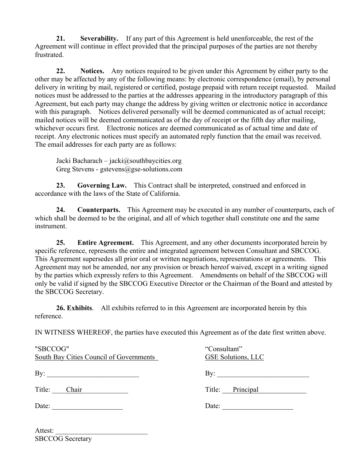**21. Severability.** If any part of this Agreement is held unenforceable, the rest of the Agreement will continue in effect provided that the principal purposes of the parties are not thereby frustrated.

**22. Notices.** Any notices required to be given under this Agreement by either party to the other may be affected by any of the following means: by electronic correspondence (email), by personal delivery in writing by mail, registered or certified, postage prepaid with return receipt requested. Mailed notices must be addressed to the parties at the addresses appearing in the introductory paragraph of this Agreement, but each party may change the address by giving written or electronic notice in accordance with this paragraph. Notices delivered personally will be deemed communicated as of actual receipt; mailed notices will be deemed communicated as of the day of receipt or the fifth day after mailing, whichever occurs first. Electronic notices are deemed communicated as of actual time and date of receipt. Any electronic notices must specify an automated reply function that the email was received. The email addresses for each party are as follows:

Jacki Bacharach – jacki@southbaycities.org Greg Stevens - gstevens@gse-solutions.com

**23. Governing Law.** This Contract shall be interpreted, construed and enforced in accordance with the laws of the State of California.

**24. Counterparts.** This Agreement may be executed in any number of counterparts, each of which shall be deemed to be the original, and all of which together shall constitute one and the same instrument.

**25. Entire Agreement.** This Agreement, and any other documents incorporated herein by specific reference, represents the entire and integrated agreement between Consultant and SBCCOG. This Agreement supersedes all prior oral or written negotiations, representations or agreements. This Agreement may not be amended, nor any provision or breach hereof waived, except in a writing signed by the parties which expressly refers to this Agreement. Amendments on behalf of the SBCCOG will only be valid if signed by the SBCCOG Executive Director or the Chairman of the Board and attested by the SBCCOG Secretary.

**26. Exhibits**. All exhibits referred to in this Agreement are incorporated herein by this reference.

IN WITNESS WHEREOF, the parties have executed this Agreement as of the date first written above.

| "SBCCOG"<br>South Bay Cities Council of Governments | "Consultant"<br><b>GSE Solutions, LLC</b> |
|-----------------------------------------------------|-------------------------------------------|
| By: $\qquad \qquad$                                 | By: $\qquad \qquad$                       |
| Title:<br>Chair                                     | Title: Principal                          |
| Date: $\qquad \qquad$                               | Date: $\qquad \qquad$                     |
|                                                     |                                           |

| Attest: |                         |  |
|---------|-------------------------|--|
|         | <b>SBCCOG</b> Secretary |  |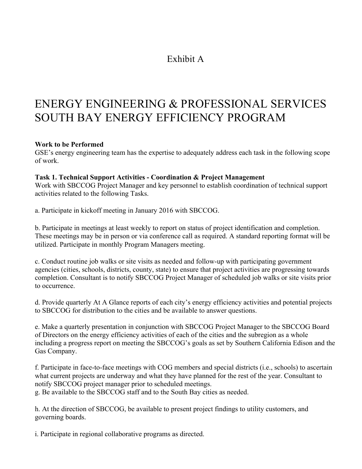# Exhibit A

# ENERGY ENGINEERING & PROFESSIONAL SERVICES SOUTH BAY ENERGY EFFICIENCY PROGRAM

### **Work to be Performed**

GSE's energy engineering team has the expertise to adequately address each task in the following scope of work.

### **Task 1. Technical Support Activities - Coordination & Project Management**

Work with SBCCOG Project Manager and key personnel to establish coordination of technical support activities related to the following Tasks.

a. Participate in kickoff meeting in January 2016 with SBCCOG.

b. Participate in meetings at least weekly to report on status of project identification and completion. These meetings may be in person or via conference call as required. A standard reporting format will be utilized. Participate in monthly Program Managers meeting.

c. Conduct routine job walks or site visits as needed and follow-up with participating government agencies (cities, schools, districts, county, state) to ensure that project activities are progressing towards completion. Consultant is to notify SBCCOG Project Manager of scheduled job walks or site visits prior to occurrence.

d. Provide quarterly At A Glance reports of each city's energy efficiency activities and potential projects to SBCCOG for distribution to the cities and be available to answer questions.

e. Make a quarterly presentation in conjunction with SBCCOG Project Manager to the SBCCOG Board of Directors on the energy efficiency activities of each of the cities and the subregion as a whole including a progress report on meeting the SBCCOG's goals as set by Southern California Edison and the Gas Company.

f. Participate in face-to-face meetings with COG members and special districts (i.e., schools) to ascertain what current projects are underway and what they have planned for the rest of the year. Consultant to notify SBCCOG project manager prior to scheduled meetings.

g. Be available to the SBCCOG staff and to the South Bay cities as needed.

h. At the direction of SBCCOG, be available to present project findings to utility customers, and governing boards.

i. Participate in regional collaborative programs as directed.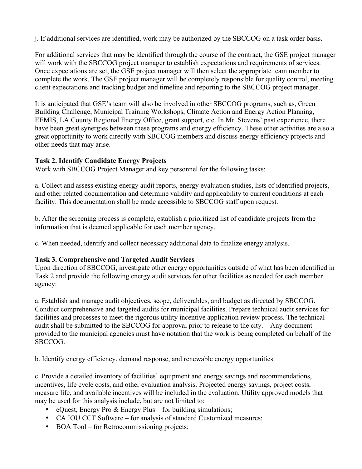j. If additional services are identified, work may be authorized by the SBCCOG on a task order basis.

For additional services that may be identified through the course of the contract, the GSE project manager will work with the SBCCOG project manager to establish expectations and requirements of services. Once expectations are set, the GSE project manager will then select the appropriate team member to complete the work. The GSE project manager will be completely responsible for quality control, meeting client expectations and tracking budget and timeline and reporting to the SBCCOG project manager.

It is anticipated that GSE's team will also be involved in other SBCCOG programs, such as, Green Building Challenge, Municipal Training Workshops, Climate Action and Energy Action Planning, EEMIS, LA County Regional Energy Office, grant support, etc. In Mr. Stevens' past experience, there have been great synergies between these programs and energy efficiency. These other activities are also a great opportunity to work directly with SBCCOG members and discuss energy efficiency projects and other needs that may arise.

## **Task 2. Identify Candidate Energy Projects**

Work with SBCCOG Project Manager and key personnel for the following tasks:

a. Collect and assess existing energy audit reports, energy evaluation studies, lists of identified projects, and other related documentation and determine validity and applicability to current conditions at each facility. This documentation shall be made accessible to SBCCOG staff upon request.

b. After the screening process is complete, establish a prioritized list of candidate projects from the information that is deemed applicable for each member agency.

c. When needed, identify and collect necessary additional data to finalize energy analysis.

# **Task 3. Comprehensive and Targeted Audit Services**

Upon direction of SBCCOG, investigate other energy opportunities outside of what has been identified in Task 2 and provide the following energy audit services for other facilities as needed for each member agency:

a. Establish and manage audit objectives, scope, deliverables, and budget as directed by SBCCOG. Conduct comprehensive and targeted audits for municipal facilities. Prepare technical audit services for facilities and processes to meet the rigorous utility incentive application review process. The technical audit shall be submitted to the SBCCOG for approval prior to release to the city. Any document provided to the municipal agencies must have notation that the work is being completed on behalf of the SBCCOG.

b. Identify energy efficiency, demand response, and renewable energy opportunities.

c. Provide a detailed inventory of facilities' equipment and energy savings and recommendations, incentives, life cycle costs, and other evaluation analysis. Projected energy savings, project costs, measure life, and available incentives will be included in the evaluation. Utility approved models that may be used for this analysis include, but are not limited to:

- eQuest, Energy Pro & Energy Plus for building simulations;
- CA IOU CCT Software for analysis of standard Customized measures;
- BOA Tool for Retrocommissioning projects;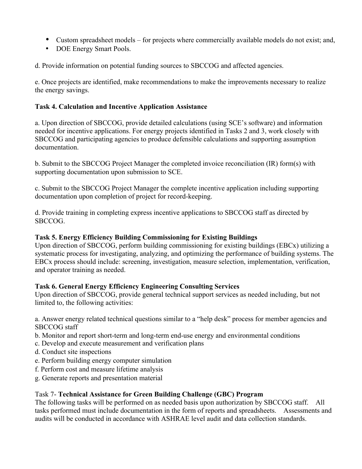- Custom spreadsheet models for projects where commercially available models do not exist; and,
- DOE Energy Smart Pools.

d. Provide information on potential funding sources to SBCCOG and affected agencies.

e. Once projects are identified, make recommendations to make the improvements necessary to realize the energy savings.

### **Task 4. Calculation and Incentive Application Assistance**

a. Upon direction of SBCCOG, provide detailed calculations (using SCE's software) and information needed for incentive applications. For energy projects identified in Tasks 2 and 3, work closely with SBCCOG and participating agencies to produce defensible calculations and supporting assumption documentation.

b. Submit to the SBCCOG Project Manager the completed invoice reconciliation (IR) form(s) with supporting documentation upon submission to SCE.

c. Submit to the SBCCOG Project Manager the complete incentive application including supporting documentation upon completion of project for record-keeping.

d. Provide training in completing express incentive applications to SBCCOG staff as directed by SBCCOG.

# **Task 5. Energy Efficiency Building Commissioning for Existing Buildings**

Upon direction of SBCCOG, perform building commissioning for existing buildings (EBCx) utilizing a systematic process for investigating, analyzing, and optimizing the performance of building systems. The EBCx process should include: screening, investigation, measure selection, implementation, verification, and operator training as needed.

### **Task 6. General Energy Efficiency Engineering Consulting Services**

Upon direction of SBCCOG, provide general technical support services as needed including, but not limited to, the following activities:

a. Answer energy related technical questions similar to a "help desk" process for member agencies and SBCCOG staff

- b. Monitor and report short-term and long-term end-use energy and environmental conditions
- c. Develop and execute measurement and verification plans
- d. Conduct site inspections
- e. Perform building energy computer simulation
- f. Perform cost and measure lifetime analysis
- g. Generate reports and presentation material

# Task 7- **Technical Assistance for Green Building Challenge (GBC) Program**

The following tasks will be performed on as needed basis upon authorization by SBCCOG staff. All tasks performed must include documentation in the form of reports and spreadsheets. Assessments and audits will be conducted in accordance with ASHRAE level audit and data collection standards.